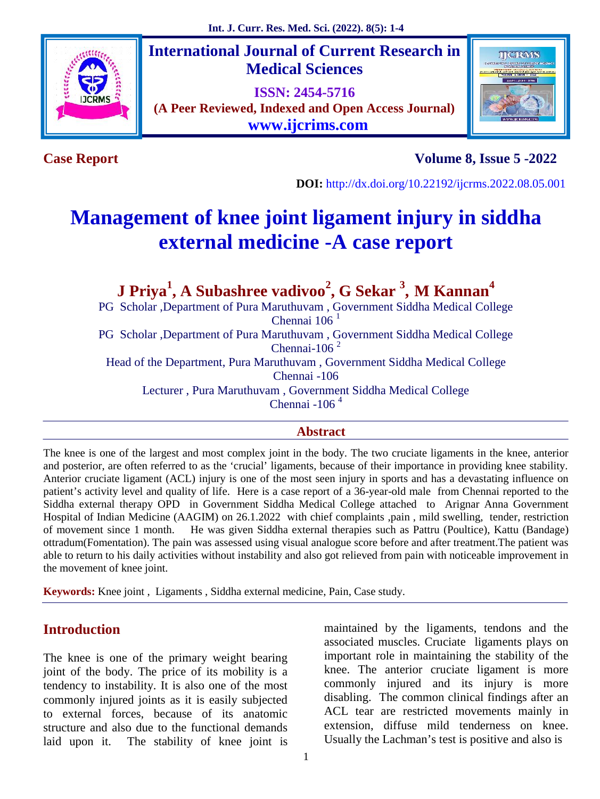

**International Journal of Current Research in Medical Sciences**

**ISSN: 2454-5716 (A Peer Reviewed, Indexed and Open Access Journal) www.ijcrims.com**



**Case Report Volume 8, Issue 5 -2022**

**DOI:** http://dx.doi.org/10.22192/ijcrms.2022.08.05.001

# **Management of knee joint ligament injury in siddha external medicine -A case report**

**J Priya<sup>1</sup> , A Subashree vadivoo<sup>2</sup> , G Sekar <sup>3</sup> , M Kannan<sup>4</sup>** PG Scholar ,Department of Pura Maruthuvam , Government Siddha Medical College

Chennai  $106<sup>1</sup>$ 

PG Scholar ,Department of Pura Maruthuvam , Government Siddha Medical College Chennai-106 $<sup>2</sup>$ </sup>

Head of the Department, Pura Maruthuvam , Government Siddha Medical College

Chennai -106

Lecturer , Pura Maruthuvam , Government Siddha Medical College

Chennai -106 $<sup>4</sup>$ </sup>

## **Abstract**

The knee is one of the largest and most complex joint in the body. The two cruciate ligaments in the knee, anterior and posterior, are often referred to as the 'crucial' ligaments, because of their importance in providing knee stability. Anterior cruciate ligament (ACL) injury is one of the most seen injury in sports and has a devastating influence on patient's activity level and quality of life. Here is a case report of a 36-year-old male from Chennai reported to the Siddha external therapy OPD in Government Siddha Medical College attached to Arignar Anna Government Hospital of Indian Medicine (AAGIM) on 26.1.2022 with chief complaints ,pain , mild swelling, tender, restriction of movement since 1 month. He was given Siddha external therapies such as Pattru (Poultice), Kattu (Bandage) ottradum(Fomentation). The pain was assessed using visual analogue score before and after treatment.The patient was able to return to his daily activities without instability and also got relieved from pain with noticeable improvement in the movement of knee joint.

**Keywords:** Knee joint , Ligaments , Siddha external medicine, Pain, Case study.

# **Introduction**

The knee is one of the primary weight bearing joint of the body. The price of its mobility is a tendency to instability. It is also one of the most commonly injured joints as it is easily subjected to external forces, because of its anatomic structure and also due to the functional demands laid upon it. The stability of knee joint is

maintained by the ligaments, tendons and the associated muscles. Cruciate ligaments plays on important role in maintaining the stability of the knee. The anterior cruciate ligament is more commonly injured and its injury is more disabling. The common clinical findings after an ACL tear are restricted movements mainly in extension, diffuse mild tenderness on knee. Usually the Lachman's test is positive and also is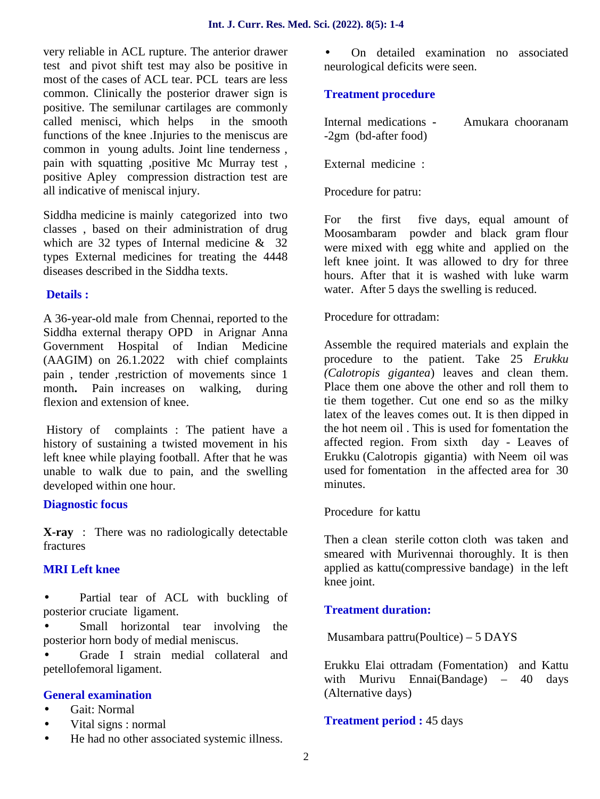very reliable in ACL rupture. The anterior drawer test and pivot shift test may also be positive in most of the cases of ACL tear. PCL tears are less common. Clinically the posterior drawer sign is positive. The semilunar cartilages are commonly called menisci, which helps in the smooth functions of the knee .Injuries to the meniscus are common in young adults. Joint line tenderness , pain with squatting ,positive Mc Murray test , positive Apley compression distraction test are all indicative of meniscal injury.

Siddha medicine is mainly categorized into two For classes , based on their administration of drug which are 32 types of Internal medicine & 32 types External medicines for treating the 4448 diseases described in the Siddha texts.

## **Details :**

A 36-year-old male from Chennai, reported to the Siddha external therapy OPD in Arignar Anna Government Hospital of Indian Medicine (AAGIM) on 26.1.2022 with chief complaints pain , tender ,restriction of movements since 1 month**.** Pain increases on walking, during flexion and extension of knee.

History of complaints : The patient have a history of sustaining a twisted movement in his left knee while playing football. After that he was unable to walk due to pain, and the swelling developed within one hour.

## **Diagnostic focus**

**X-ray** : There was no radiologically detectable fractures

## **MRI Left knee**

 Partial tear of ACL with buckling of posterior cruciate ligament.

 Small horizontal tear involving the posterior horn body of medial meniscus.

 Grade I strain medial collateral and petellofemoral ligament.

## **General examination**

Gait: Normal

- Vital signs : normal
	- He had no other associated systemic illness.

 On detailed examination no associated neurological deficits were seen.

## **Treatment procedure**

| Internal medications - | Amukara chooranam |
|------------------------|-------------------|
| $-2gm$ (bd-after food) |                   |

External medicine :

Procedure for patru:

the first five days, equal amount of Moosambaram powder and black gram flour were mixed with egg white and applied on the left knee joint. It was allowed to dry for three hours. After that it is washed with luke warm water. After 5 days the swelling is reduced.

Procedure for ottradam:

Assemble the required materials and explain the procedure to the patient. Take 25 *Erukku (Calotropis gigantea*) leaves and clean them. Place them one above the other and roll them to tie them together. Cut one end so as the milky latex of the leaves comes out. It is then dipped in the hot neem oil . This is used for fomentation the affected region. From sixth day - Leaves of Erukku (Calotropis gigantia) with Neem oil was used for fomentation in the affected area for 30 minutes.

Procedure for kattu

Then a clean sterile cotton cloth was taken and smeared with Murivennai thoroughly. It is then applied as kattu(compressive bandage) in the left knee joint.

## **Treatment duration:**

Musambara pattru(Poultice) – 5 DAYS

Erukku Elai ottradam (Fomentation) and Kattu with Murivu Ennai(Bandage) – 40 days (Alternative days)

## **Treatment period :** 45 days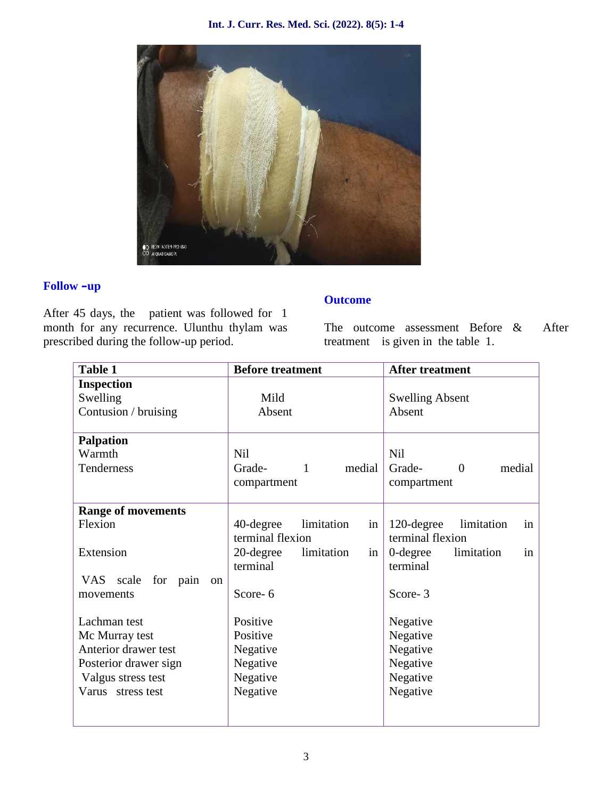#### **Int. J. Curr. Res. Med. Sci. (2022). 8(5): 1-4**



## **Follow –up**

After 45 days, the patient was followed for 1 month for any recurrence. Ulunthu thylam was prescribed during the follow-up period.

## **Outcome**

The outcome assessment Before & After treatment is given in the table 1.

| <b>Table 1</b>              | <b>Before treatment</b>       | <b>After treatment</b>             |  |
|-----------------------------|-------------------------------|------------------------------------|--|
| <b>Inspection</b>           |                               |                                    |  |
| Swelling                    | Mild                          | <b>Swelling Absent</b>             |  |
| Contusion / bruising        | Absent                        | Absent                             |  |
|                             |                               |                                    |  |
| <b>Palpation</b>            |                               |                                    |  |
| Warmth                      | <b>Nil</b>                    | <b>Nil</b>                         |  |
| Tenderness                  | Grade-<br>medial<br>1         | Grade-<br>medial<br>$\overline{0}$ |  |
|                             | compartment                   | compartment                        |  |
|                             |                               |                                    |  |
| <b>Range of movements</b>   |                               |                                    |  |
| Flexion                     | 40-degree<br>limitation<br>in | 120-degree<br>limitation<br>in     |  |
|                             | terminal flexion              | terminal flexion                   |  |
| Extension                   | 20-degree<br>limitation<br>in | 0-degree<br>limitation<br>in       |  |
|                             | terminal                      | terminal                           |  |
| VAS scale<br>for pain<br>on |                               |                                    |  |
| movements                   | Score-6                       | Score-3                            |  |
|                             |                               |                                    |  |
| Lachman test                | Positive                      | Negative                           |  |
| Mc Murray test              | Positive                      | Negative                           |  |
| Anterior drawer test        | Negative                      | Negative                           |  |
| Posterior drawer sign       | Negative                      | Negative                           |  |
| Valgus stress test          | Negative                      | Negative                           |  |
| Varus stress test           | Negative                      | Negative                           |  |
|                             |                               |                                    |  |
|                             |                               |                                    |  |